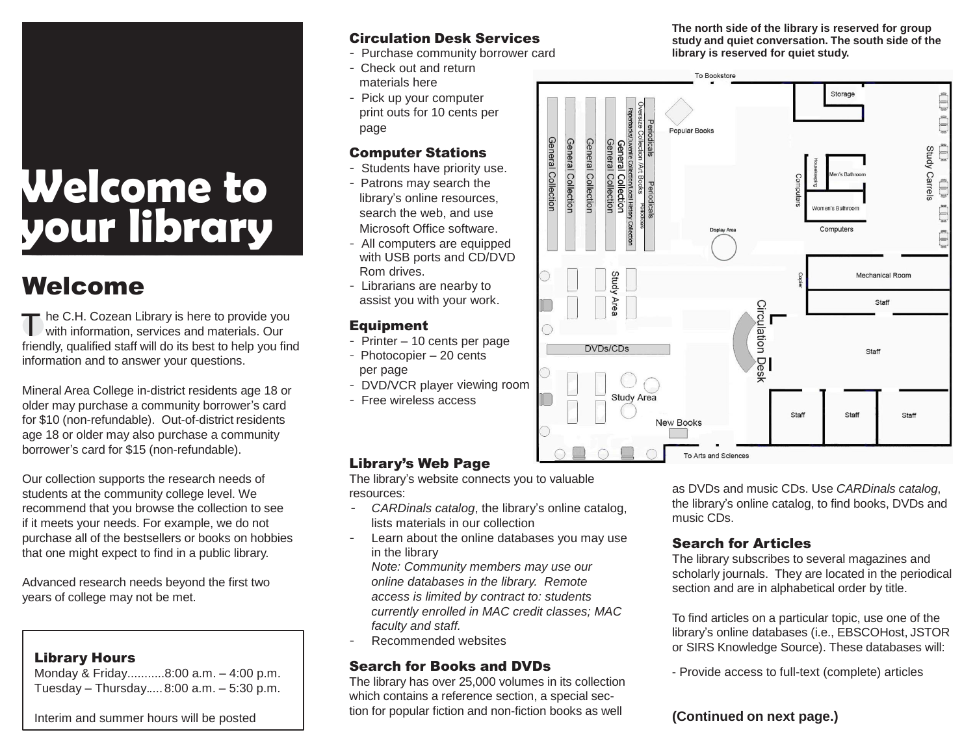## **Welcome to your library**

### Welcome

The C.H. Cozean Library is here to provide you<br>with information, services and materials. Our with information, services and materials. Our friendly, qualified staff will do its best to help you find information and to answer your questions.

Mineral Area College in-district residents age 18 or older may purchase a community borrower's card for \$10 (non-refundable). Out-of-district residents age 18 or older may also purchase a community borrower's card for \$15 (non-refundable).

Our collection supports the research needs of students at the community college level. We recommend that you browse the collection to see if it meets your needs. For example, we do not purchase all of the bestsellers or books on hobbies that one might expect to find in a public library.

Advanced research needs beyond the first two years of college may not be met.

#### Library Hours

Monday & Friday...........8:00 a.m. – 4:00 p.m. Tuesday – Thursday..... 8:00 a.m. – 5:30 p.m.

#### Interim and summer hours will be posted

#### Circulation Desk Services

- Purchase community borrower card
- Check out and return materials here
- Pick up your computer print outs for 10 cents per page

#### Computer Stations

- Students have priority use.
- Patrons may search the library's online resources, search the web, and use Microsoft Office software.
- All computers are equipped with USB ports and CD/DVD Rom drives.
- Librarians are nearby to assist you with your work.

#### Equipment

- Printer 10 cents per page
- Photocopier 20 cents per page
- DVD/VCR player viewing room
- Free wireless access

#### Library's Web Page

The library's website connects you to valuable resources:

- - *CARDinals catalog*, the library's online catalog, lists materials in our collection
- Learn about the online databases you may use in the library

*Note: Community members may use our online databases in the library. Remote access is limited by contract to: students currently enrolled in MAC credit classes; MAC faculty and staff.*

Recommended websites

#### Search for Books and DVDs

The library has over 25,000 volumes in its collection which contains a reference section, a special section for popular fiction and non-fiction books as well

**The north side of the library is reserved for group study and quiet conversation. The south side of the library is reserved for quiet study.**



as DVDs and music CDs. Use *CARDinals catalog*, the library's online catalog, to find books, DVDs and music CDs.

#### Search for Articles

The library subscribes to several magazines and scholarly journals. They are located in the periodical section and are in alphabetical order by title.

To find articles on a particular topic, use one of the library's online databases (i.e., EBSCOHost, JSTOR or SIRS Knowledge Source). These databases will:

- Provide access to full-text (complete) articles

#### **(Continued on next page.)**